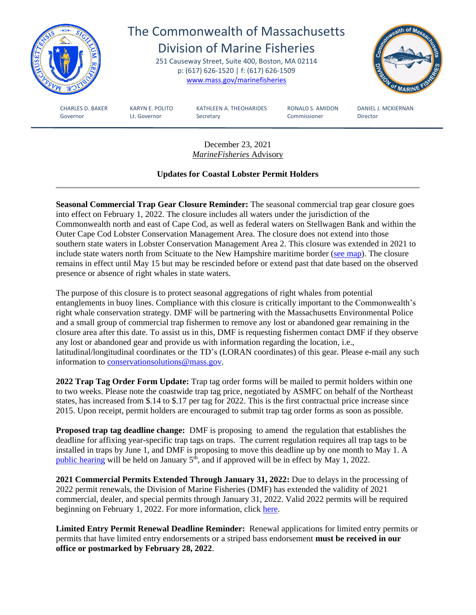

December 23, 2021 *MarineFisheries* Advisory

## **Updates for Coastal Lobster Permit Holders**

**Seasonal Commercial Trap Gear Closure Reminder:** The seasonal commercial trap gear closure goes into effect on February 1, 2022. The closure includes all waters under the jurisdiction of the Commonwealth north and east of Cape Cod, as well as federal waters on Stellwagen Bank and within the Outer Cape Cod Lobster Conservation Management Area. The closure does not extend into those southern state waters in Lobster Conservation Management Area 2. This closure was extended in 2021 to include state waters north from Scituate to the New Hampshire maritime border [\(see map\)](https://www.mass.gov/doc/new-seasonal-trap-gear-closure-area-for-protected-species/download). The closure remains in effect until May 15 but may be rescinded before or extend past that date based on the observed presence or absence of right whales in state waters.

The purpose of this closure is to protect seasonal aggregations of right whales from potential entanglements in buoy lines. Compliance with this closure is critically important to the Commonwealth's right whale conservation strategy. DMF will be partnering with the Massachusetts Environmental Police and a small group of commercial trap fishermen to remove any lost or abandoned gear remaining in the closure area after this date. To assist us in this, DMF is requesting fishermen contact DMF if they observe any lost or abandoned gear and provide us with information regarding the location, i.e., latitudinal/longitudinal coordinates or the TD's (LORAN coordinates) of this gear. Please e-mail any such information to [conservationsolutions@mass.gov.](mailto:conservationsolutions@mass.gov)

**2022 Trap Tag Order Form Update:** Trap tag order forms will be mailed to permit holders within one to two weeks. Please note the coastwide trap tag price, negotiated by ASMFC on behalf of the Northeast states, has increased from \$.14 to \$.17 per tag for 2022. This is the first contractual price increase since 2015. Upon receipt, permit holders are encouraged to submit trap tag order forms as soon as possible.

**Proposed trap tag deadline change:** DMF is proposing to amend the regulation that establishes the deadline for affixing year-specific trap tags on traps. The current regulation requires all trap tags to be installed in traps by June 1, and DMF is proposing to move this deadline up by one month to May 1. A [public hearing](https://www.mass.gov/doc/12921-notice-of-january-5-2022-virtual-public-hearing-and-public-comment-period-draft-regulatory-amendments-affecting-buoy-line-marking-for-trap-gear-commercial-lobster-and-crab-trap-tag-implementation-deadlines-and-seasonal-student-lobster-permits/download) will be held on January  $5<sup>th</sup>$ , and if approved will be in effect by May 1, 2022.

**2021 Commercial Permits Extended Through January 31, 2022:** Due to delays in the processing of 2022 permit renewals, the Division of Marine Fisheries (DMF) has extended the validity of 2021 commercial, dealer, and special permits through January 31, 2022. Valid 2022 permits will be required beginning on February 1, 2022. For more information, click [here.](https://www.mass.gov/doc/121421-2021-commercial-dealer-and-special-permits-extended-through-january-31-2022/download)

**Limited Entry Permit Renewal Deadline Reminder:** Renewal applications for limited entry permits or permits that have limited entry endorsements or a striped bass endorsement **must be received in our office or postmarked by February 28, 2022**.